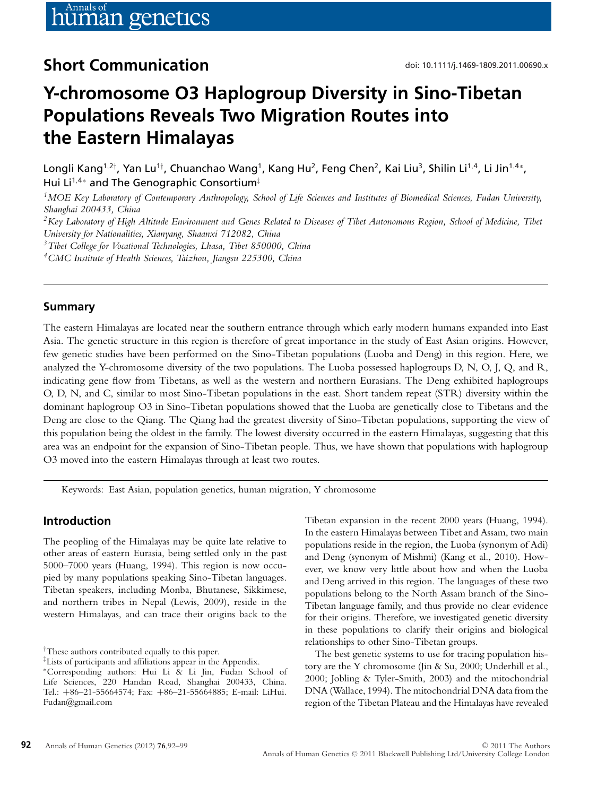## **Short Communication** doi: 10.1111/j.1469-1809.2011.00690.x

# **Y-chromosome O3 Haplogroup Diversity in Sino-Tibetan Populations Reveals Two Migration Routes into the Eastern Himalayas**

Longli Kang<sup>1,2†</sup>, Yan Lu<sup>1†</sup>, Chuanchao Wang<sup>1</sup>, Kang Hu<sup>2</sup>, Feng Chen<sup>2</sup>, Kai Liu<sup>3</sup>, Shilin Li<sup>1,4</sup>, Li Jin<sup>1,4</sup>\*, Hui Li<sup>1,4∗</sup> and The Genographic Consortium<sup>‡</sup>

*1MOE Key Laboratory of Contemporary Anthropology, School of Life Sciences and Institutes of Biomedical Sciences, Fudan University, Shanghai 200433, China*

*2Key Laboratory of High Altitude Environment and Genes Related to Diseases of Tibet Autonomous Region, School of Medicine, Tibet University for Nationalities, Xianyang, Shaanxi 712082, China*

*3Tibet College for Vocational Technologies, Lhasa, Tibet 850000, China*

*4CMC Institute of Health Sciences, Taizhou, Jiangsu 225300, China*

## **Summary**

The eastern Himalayas are located near the southern entrance through which early modern humans expanded into East Asia. The genetic structure in this region is therefore of great importance in the study of East Asian origins. However, few genetic studies have been performed on the Sino-Tibetan populations (Luoba and Deng) in this region. Here, we analyzed the Y-chromosome diversity of the two populations. The Luoba possessed haplogroups D, N, O, J, Q, and R, indicating gene flow from Tibetans, as well as the western and northern Eurasians. The Deng exhibited haplogroups O, D, N, and C, similar to most Sino-Tibetan populations in the east. Short tandem repeat (STR) diversity within the dominant haplogroup O3 in Sino-Tibetan populations showed that the Luoba are genetically close to Tibetans and the Deng are close to the Qiang. The Qiang had the greatest diversity of Sino-Tibetan populations, supporting the view of this population being the oldest in the family. The lowest diversity occurred in the eastern Himalayas, suggesting that this area was an endpoint for the expansion of Sino-Tibetan people. Thus, we have shown that populations with haplogroup O3 moved into the eastern Himalayas through at least two routes.

Keywords: East Asian, population genetics, human migration, Y chromosome

## **Introduction**

The peopling of the Himalayas may be quite late relative to other areas of eastern Eurasia, being settled only in the past 5000–7000 years (Huang, 1994). This region is now occupied by many populations speaking Sino-Tibetan languages. Tibetan speakers, including Monba, Bhutanese, Sikkimese, and northern tribes in Nepal (Lewis, 2009), reside in the western Himalayas, and can trace their origins back to the Tibetan expansion in the recent 2000 years (Huang, 1994). In the eastern Himalayas between Tibet and Assam, two main populations reside in the region, the Luoba (synonym of Adi) and Deng (synonym of Mishmi) (Kang et al., 2010). However, we know very little about how and when the Luoba and Deng arrived in this region. The languages of these two populations belong to the North Assam branch of the Sino-Tibetan language family, and thus provide no clear evidence for their origins. Therefore, we investigated genetic diversity in these populations to clarify their origins and biological relationships to other Sino-Tibetan groups.

The best genetic systems to use for tracing population history are the Y chromosome (Jin & Su, 2000; Underhill et al., 2000; Jobling & Tyler-Smith, 2003) and the mitochondrial DNA (Wallace, 1994). The mitochondrial DNA data from the region of the Tibetan Plateau and the Himalayas have revealed

<sup>†</sup> These authors contributed equally to this paper.

<sup>‡</sup> Lists of participants and affiliations appear in the Appendix.

<sup>∗</sup>Corresponding authors: Hui Li & Li Jin, Fudan School of Life Sciences, 220 Handan Road, Shanghai 200433, China. Tel.: +86–21-55664574; Fax: +86–21-55664885; E-mail: LiHui. Fudan@gmail.com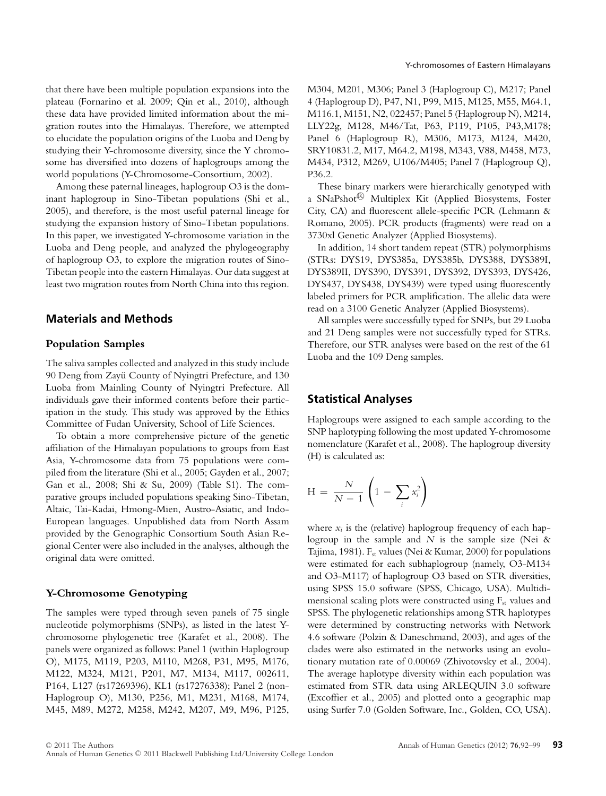that there have been multiple population expansions into the plateau (Fornarino et al. 2009; Qin et al., 2010), although these data have provided limited information about the migration routes into the Himalayas. Therefore, we attempted to elucidate the population origins of the Luoba and Deng by studying their Y-chromosome diversity, since the Y chromosome has diversified into dozens of haplogroups among the world populations (Y-Chromosome-Consortium, 2002).

Among these paternal lineages, haplogroup O3 is the dominant haplogroup in Sino-Tibetan populations (Shi et al., 2005), and therefore, is the most useful paternal lineage for studying the expansion history of Sino-Tibetan populations. In this paper, we investigated Y-chromosome variation in the Luoba and Deng people, and analyzed the phylogeography of haplogroup O3, to explore the migration routes of Sino-Tibetan people into the eastern Himalayas. Our data suggest at least two migration routes from North China into this region.

## **Materials and Methods**

#### **Population Samples**

The saliva samples collected and analyzed in this study include 90 Deng from Zayü County of Nyingtri Prefecture, and 130 Luoba from Mainling County of Nyingtri Prefecture. All individuals gave their informed contents before their participation in the study. This study was approved by the Ethics Committee of Fudan University, School of Life Sciences.

To obtain a more comprehensive picture of the genetic affiliation of the Himalayan populations to groups from East Asia, Y-chromosome data from 75 populations were compiled from the literature (Shi et al., 2005; Gayden et al., 2007; Gan et al., 2008; Shi & Su, 2009) (Table S1). The comparative groups included populations speaking Sino-Tibetan, Altaic, Tai-Kadai, Hmong-Mien, Austro-Asiatic, and Indo-European languages. Unpublished data from North Assam provided by the Genographic Consortium South Asian Regional Center were also included in the analyses, although the original data were omitted.

#### **Y-Chromosome Genotyping**

The samples were typed through seven panels of 75 single nucleotide polymorphisms (SNPs), as listed in the latest Ychromosome phylogenetic tree (Karafet et al., 2008). The panels were organized as follows: Panel 1 (within Haplogroup O), M175, M119, P203, M110, M268, P31, M95, M176, M122, M324, M121, P201, M7, M134, M117, 002611, P164, L127 (rs17269396), KL1 (rs17276338); Panel 2 (non-Haplogroup O), M130, P256, M1, M231, M168, M174, M45, M89, M272, M258, M242, M207, M9, M96, P125, M304, M201, M306; Panel 3 (Haplogroup C), M217; Panel 4 (Haplogroup D), P47, N1, P99, M15, M125, M55, M64.1, M116.1, M151, N2, 022457; Panel 5 (Haplogroup N), M214, LLY22g, M128, M46/Tat, P63, P119, P105, P43,M178; Panel 6 (Haplogroup R), M306, M173, M124, M420, SRY10831.2, M17, M64.2, M198, M343, V88, M458, M73, M434, P312, M269, U106/M405; Panel 7 (Haplogroup Q), P36.2.

These binary markers were hierarchically genotyped with a SNaPshot<sup>®</sup> Multiplex Kit (Applied Biosystems, Foster City, CA) and fluorescent allele-specific PCR (Lehmann & Romano, 2005). PCR products (fragments) were read on a 3730xl Genetic Analyzer (Applied Biosystems).

In addition, 14 short tandem repeat (STR) polymorphisms (STRs: DYS19, DYS385a, DYS385b, DYS388, DYS389I, DYS389II, DYS390, DYS391, DYS392, DYS393, DYS426, DYS437, DYS438, DYS439) were typed using fluorescently labeled primers for PCR amplification. The allelic data were read on a 3100 Genetic Analyzer (Applied Biosystems).

All samples were successfully typed for SNPs, but 29 Luoba and 21 Deng samples were not successfully typed for STRs. Therefore, our STR analyses were based on the rest of the 61 Luoba and the 109 Deng samples.

#### **Statistical Analyses**

Haplogroups were assigned to each sample according to the SNP haplotyping following the most updated Y-chromosome nomenclature (Karafet et al., 2008). The haplogroup diversity (H) is calculated as:

$$
H = \frac{N}{N-1} \left( 1 - \sum_{i} x_i^2 \right)
$$

where  $x_i$  is the (relative) haplogroup frequency of each haplogroup in the sample and *N* is the sample size (Nei & Tajima, 1981).  $F_{st}$  values (Nei & Kumar, 2000) for populations were estimated for each subhaplogroup (namely, O3-M134 and O3-M117) of haplogroup O3 based on STR diversities, using SPSS 15.0 software (SPSS, Chicago, USA). Multidimensional scaling plots were constructed using  $F_{st}$  values and SPSS. The phylogenetic relationships among STR haplotypes were determined by constructing networks with Network 4.6 software (Polzin & Daneschmand, 2003), and ages of the clades were also estimated in the networks using an evolutionary mutation rate of 0.00069 (Zhivotovsky et al., 2004). The average haplotype diversity within each population was estimated from STR data using ARLEQUIN 3.0 software (Excoffier et al., 2005) and plotted onto a geographic map using Surfer 7.0 (Golden Software, Inc., Golden, CO, USA).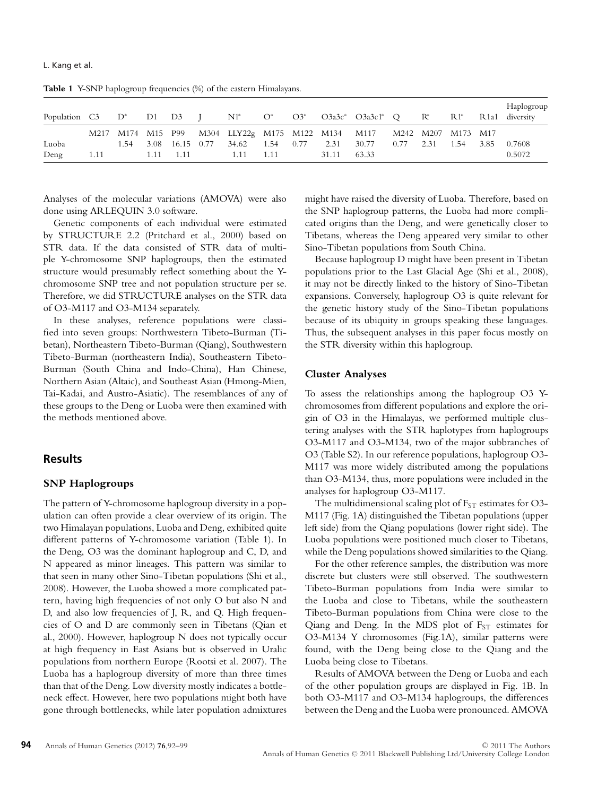Population C3 D\* D1 D3 J N1\* O\* O3\* O3a3c\* O3a3c1\* Q R\* R1\* R1a1 diversity M217 M174 M15 P99 M304 LLY22g M175 M122 M134 M117 M242 M207 M173 M17 Luoba 1.54 3.08 16.15 0.77 34.62 1.54 0.77 2.31 30.77 0.77 2.31 1.54 3.85 0.7608 Deng 1.11 1.11 1.11 1.11 1.11 31.11 63.33 0.5072

Table 1 Y-SNP haplogroup frequencies (%) of the eastern Himalayans.

Analyses of the molecular variations (AMOVA) were also done using ARLEQUIN 3.0 software.

Genetic components of each individual were estimated by STRUCTURE 2.2 (Pritchard et al., 2000) based on STR data. If the data consisted of STR data of multiple Y-chromosome SNP haplogroups, then the estimated structure would presumably reflect something about the Ychromosome SNP tree and not population structure per se. Therefore, we did STRUCTURE analyses on the STR data of O3-M117 and O3-M134 separately.

In these analyses, reference populations were classified into seven groups: Northwestern Tibeto-Burman (Tibetan), Northeastern Tibeto-Burman (Qiang), Southwestern Tibeto-Burman (northeastern India), Southeastern Tibeto-Burman (South China and Indo-China), Han Chinese, Northern Asian (Altaic), and Southeast Asian (Hmong-Mien, Tai-Kadai, and Austro-Asiatic). The resemblances of any of these groups to the Deng or Luoba were then examined with the methods mentioned above.

## **Results**

#### **SNP Haplogroups**

The pattern of Y-chromosome haplogroup diversity in a population can often provide a clear overview of its origin. The two Himalayan populations, Luoba and Deng, exhibited quite different patterns of Y-chromosome variation (Table 1). In the Deng, O3 was the dominant haplogroup and C, D, and N appeared as minor lineages. This pattern was similar to that seen in many other Sino-Tibetan populations (Shi et al., 2008). However, the Luoba showed a more complicated pattern, having high frequencies of not only O but also N and D, and also low frequencies of J, R, and Q. High frequencies of O and D are commonly seen in Tibetans (Qian et al., 2000). However, haplogroup N does not typically occur at high frequency in East Asians but is observed in Uralic populations from northern Europe (Rootsi et al. 2007). The Luoba has a haplogroup diversity of more than three times than that of the Deng. Low diversity mostly indicates a bottleneck effect. However, here two populations might both have gone through bottlenecks, while later population admixtures might have raised the diversity of Luoba. Therefore, based on the SNP haplogroup patterns, the Luoba had more complicated origins than the Deng, and were genetically closer to Tibetans, whereas the Deng appeared very similar to other Sino-Tibetan populations from South China.

Haplogroup

Because haplogroup D might have been present in Tibetan populations prior to the Last Glacial Age (Shi et al., 2008), it may not be directly linked to the history of Sino-Tibetan expansions. Conversely, haplogroup O3 is quite relevant for the genetic history study of the Sino-Tibetan populations because of its ubiquity in groups speaking these languages. Thus, the subsequent analyses in this paper focus mostly on the STR diversity within this haplogroup.

#### **Cluster Analyses**

To assess the relationships among the haplogroup O3 Ychromosomes from different populations and explore the origin of O3 in the Himalayas, we performed multiple clustering analyses with the STR haplotypes from haplogroups O3-M117 and O3-M134, two of the major subbranches of O3 (Table S2). In our reference populations, haplogroup O3- M117 was more widely distributed among the populations than O3-M134, thus, more populations were included in the analyses for haplogroup O3-M117.

The multidimensional scaling plot of  $F_{ST}$  estimates for O3-M117 (Fig. 1A) distinguished the Tibetan populations (upper left side) from the Qiang populations (lower right side). The Luoba populations were positioned much closer to Tibetans, while the Deng populations showed similarities to the Qiang.

For the other reference samples, the distribution was more discrete but clusters were still observed. The southwestern Tibeto-Burman populations from India were similar to the Luoba and close to Tibetans, while the southeastern Tibeto-Burman populations from China were close to the Qiang and Deng. In the MDS plot of  $F_{ST}$  estimates for O3-M134 Y chromosomes (Fig.1A), similar patterns were found, with the Deng being close to the Qiang and the Luoba being close to Tibetans.

Results of AMOVA between the Deng or Luoba and each of the other population groups are displayed in Fig. 1B. In both O3-M117 and O3-M134 haplogroups, the differences between the Deng and the Luoba were pronounced. AMOVA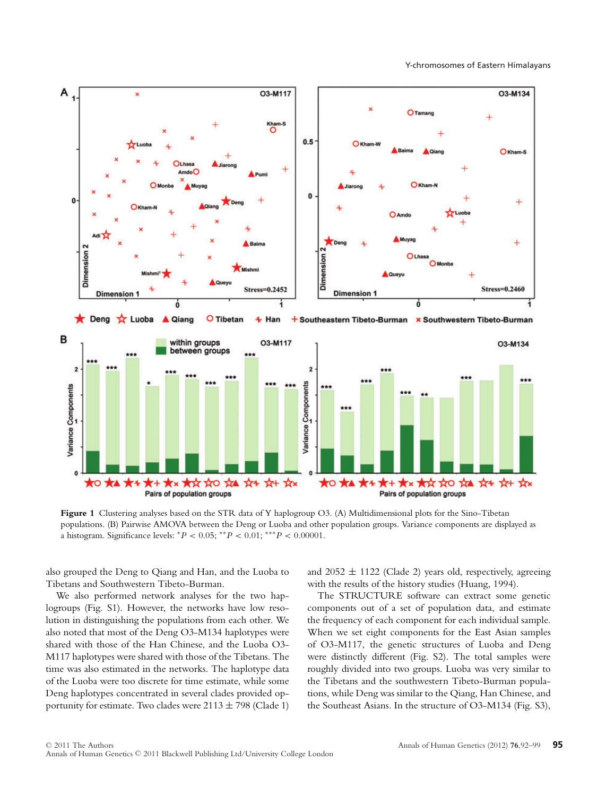

**Figure 1** Clustering analyses based on the STR data of Y haplogroup O3. (A) Multidimensional plots for the Sino-Tibetan populations. (B) Pairwise AMOVA between the Deng or Luoba and other population groups. Variance components are displayed as a histogram. Significance levels: <sup>∗</sup>*P* < 0.05; ∗∗*P* < 0.01; ∗∗∗*P* < 0.00001.

also grouped the Deng to Qiang and Han, and the Luoba to Tibetans and Southwestern Tibeto-Burman.

We also performed network analyses for the two haplogroups (Fig. S1). However, the networks have low resolution in distinguishing the populations from each other. We also noted that most of the Deng O3-M134 haplotypes were shared with those of the Han Chinese, and the Luoba O3- M117 haplotypes were shared with those of the Tibetans. The time was also estimated in the networks. The haplotype data of the Luoba were too discrete for time estimate, while some Deng haplotypes concentrated in several clades provided opportunity for estimate. Two clades were  $2113 \pm 798$  (Clade 1) and  $2052 \pm 1122$  (Clade 2) years old, respectively, agreeing with the results of the history studies (Huang, 1994).

The STRUCTURE software can extract some genetic components out of a set of population data, and estimate the frequency of each component for each individual sample. When we set eight components for the East Asian samples of O3-M117, the genetic structures of Luoba and Deng were distinctly different (Fig. S2). The total samples were roughly divided into two groups. Luoba was very similar to the Tibetans and the southwestern Tibeto-Burman populations, while Deng was similar to the Qiang, Han Chinese, and the Southeast Asians. In the structure of O3-M134 (Fig. S3),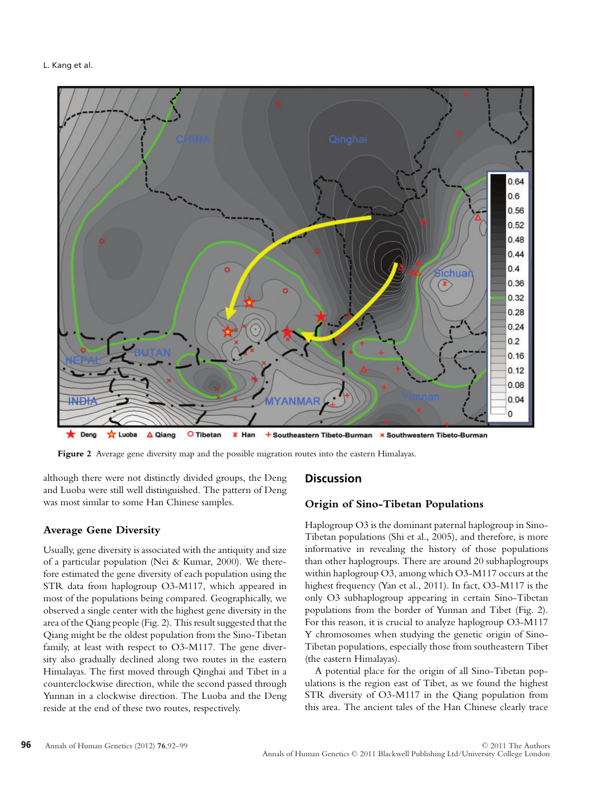

 $\bigstar$  Deng  $\frac{1}{2}$  Luoba  $\Delta$  Qiang O Tibetan  $*$  Han + Southeastern Tibeto-Burman x Southwestern Tibeto-Burman

**Figure 2** Average gene diversity map and the possible migration routes into the eastern Himalayas.

although there were not distinctly divided groups, the Deng and Luoba were still well distinguished. The pattern of Deng was most similar to some Han Chinese samples.

#### **Average Gene Diversity**

Usually, gene diversity is associated with the antiquity and size of a particular population (Nei & Kumar, 2000). We therefore estimated the gene diversity of each population using the STR data from haplogroup O3-M117, which appeared in most of the populations being compared. Geographically, we observed a single center with the highest gene diversity in the area of the Qiang people (Fig. 2). This result suggested that the Qiang might be the oldest population from the Sino-Tibetan family, at least with respect to O3-M117. The gene diversity also gradually declined along two routes in the eastern Himalayas. The first moved through Qinghai and Tibet in a counterclockwise direction, while the second passed through Yunnan in a clockwise direction. The Luoba and the Deng reside at the end of these two routes, respectively.

## **Discussion**

#### **Origin of Sino-Tibetan Populations**

Haplogroup O3 is the dominant paternal haplogroup in Sino-Tibetan populations (Shi et al., 2005), and therefore, is more informative in revealing the history of those populations than other haplogroups. There are around 20 subhaplogroups within haplogroup O3, among which O3-M117 occurs at the highest frequency (Yan et al., 2011). In fact, O3-M117 is the only O3 subhaplogroup appearing in certain Sino-Tibetan populations from the border of Yunnan and Tibet (Fig. 2). For this reason, it is crucial to analyze haplogroup O3-M117 Y chromosomes when studying the genetic origin of Sino-Tibetan populations, especially those from southeastern Tibet (the eastern Himalayas).

A potential place for the origin of all Sino-Tibetan populations is the region east of Tibet, as we found the highest STR diversity of O3-M117 in the Qiang population from this area. The ancient tales of the Han Chinese clearly trace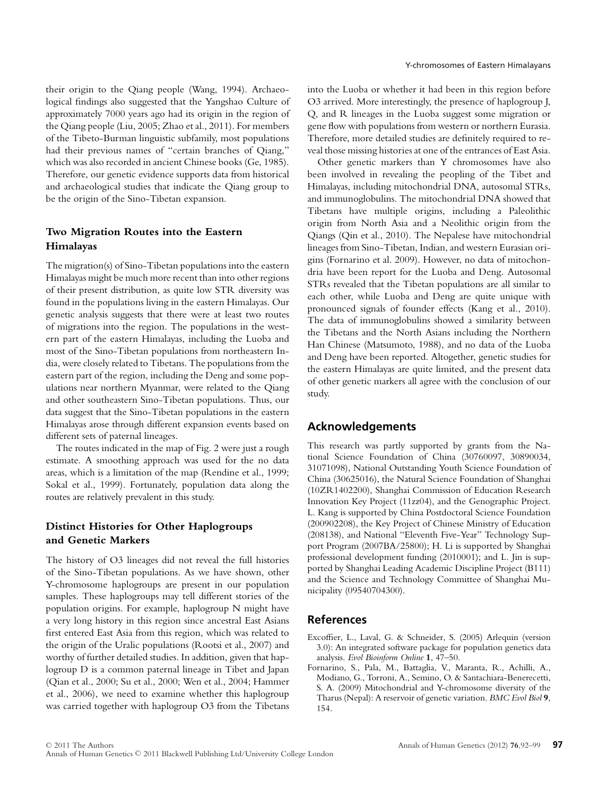their origin to the Qiang people (Wang, 1994). Archaeological findings also suggested that the Yangshao Culture of approximately 7000 years ago had its origin in the region of the Qiang people (Liu, 2005; Zhao et al., 2011). For members of the Tibeto-Burman linguistic subfamily, most populations had their previous names of "certain branches of Qiang," which was also recorded in ancient Chinese books (Ge, 1985). Therefore, our genetic evidence supports data from historical and archaeological studies that indicate the Qiang group to be the origin of the Sino-Tibetan expansion.

## **Two Migration Routes into the Eastern Himalayas**

The migration(s) of Sino-Tibetan populations into the eastern Himalayas might be much more recent than into other regions of their present distribution, as quite low STR diversity was found in the populations living in the eastern Himalayas. Our genetic analysis suggests that there were at least two routes of migrations into the region. The populations in the western part of the eastern Himalayas, including the Luoba and most of the Sino-Tibetan populations from northeastern India, were closely related to Tibetans. The populations from the eastern part of the region, including the Deng and some populations near northern Myanmar, were related to the Qiang and other southeastern Sino-Tibetan populations. Thus, our data suggest that the Sino-Tibetan populations in the eastern Himalayas arose through different expansion events based on different sets of paternal lineages.

The routes indicated in the map of Fig. 2 were just a rough estimate. A smoothing approach was used for the no data areas, which is a limitation of the map (Rendine et al., 1999; Sokal et al., 1999). Fortunately, population data along the routes are relatively prevalent in this study.

## **Distinct Histories for Other Haplogroups and Genetic Markers**

The history of O3 lineages did not reveal the full histories of the Sino-Tibetan populations. As we have shown, other Y-chromosome haplogroups are present in our population samples. These haplogroups may tell different stories of the population origins. For example, haplogroup N might have a very long history in this region since ancestral East Asians first entered East Asia from this region, which was related to the origin of the Uralic populations (Rootsi et al., 2007) and worthy of further detailed studies. In addition, given that haplogroup D is a common paternal lineage in Tibet and Japan (Qian et al., 2000; Su et al., 2000; Wen et al., 2004; Hammer et al., 2006), we need to examine whether this haplogroup was carried together with haplogroup O3 from the Tibetans into the Luoba or whether it had been in this region before O3 arrived. More interestingly, the presence of haplogroup J, Q, and R lineages in the Luoba suggest some migration or gene flow with populations from western or northern Eurasia. Therefore, more detailed studies are definitely required to reveal those missing histories at one of the entrances of East Asia.

Other genetic markers than Y chromosomes have also been involved in revealing the peopling of the Tibet and Himalayas, including mitochondrial DNA, autosomal STRs, and immunoglobulins. The mitochondrial DNA showed that Tibetans have multiple origins, including a Paleolithic origin from North Asia and a Neolithic origin from the Qiangs (Qin et al., 2010). The Nepalese have mitochondrial lineages from Sino-Tibetan, Indian, and western Eurasian origins (Fornarino et al. 2009). However, no data of mitochondria have been report for the Luoba and Deng. Autosomal STRs revealed that the Tibetan populations are all similar to each other, while Luoba and Deng are quite unique with pronounced signals of founder effects (Kang et al., 2010). The data of immunoglobulins showed a similarity between the Tibetans and the North Asians including the Northern Han Chinese (Matsumoto, 1988), and no data of the Luoba and Deng have been reported. Altogether, genetic studies for the eastern Himalayas are quite limited, and the present data of other genetic markers all agree with the conclusion of our study.

## **Acknowledgements**

This research was partly supported by grants from the National Science Foundation of China (30760097, 30890034, 31071098), National Outstanding Youth Science Foundation of China (30625016), the Natural Science Foundation of Shanghai (10ZR1402200), Shanghai Commission of Education Research Innovation Key Project (11zz04), and the Genographic Project. L. Kang is supported by China Postdoctoral Science Foundation (200902208), the Key Project of Chinese Ministry of Education (208138), and National "Eleventh Five-Year" Technology Support Program (2007BA/25800); H. Li is supported by Shanghai professional development funding (2010001); and L. Jin is supported by Shanghai Leading Academic Discipline Project (B111) and the Science and Technology Committee of Shanghai Municipality (09540704300).

## **References**

- Excoffier, L., Laval, G. & Schneider, S. (2005) Arlequin (version 3.0): An integrated software package for population genetics data analysis. *Evol Bioinform Online* **1**, 47–50.
- Fornarino, S., Pala, M., Battaglia, V., Maranta, R., Achilli, A., Modiano, G., Torroni, A., Semino, O. & Santachiara-Benerecetti, S. A. (2009) Mitochondrial and Y-chromosome diversity of the Tharus (Nepal): A reservoir of genetic variation. *BMC Evol Biol* **9**, 154.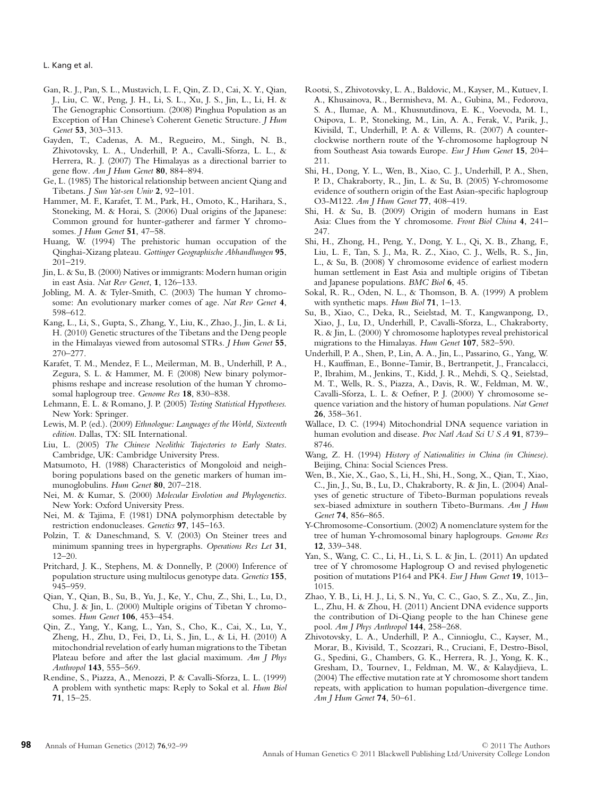L. Kang et al.

- Gan, R. J., Pan, S. L., Mustavich, L. F., Qin, Z. D., Cai, X. Y., Qian, J., Liu, C. W., Peng, J. H., Li, S. L., Xu, J. S., Jin, L., Li, H. & The Genographic Consortium. (2008) Pinghua Population as an Exception of Han Chinese's Coherent Genetic Structure. *J Hum Genet* **53**, 303–313.
- Gayden, T., Cadenas, A. M., Regueiro, M., Singh, N. B., Zhivotovsky, L. A., Underhill, P. A., Cavalli-Sforza, L. L., & Herrera, R. J. (2007) The Himalayas as a directional barrier to gene flow. *Am J Hum Genet* **80**, 884–894.
- Ge, L. (1985) The historical relationship between ancient Qiang and Tibetans. *J Sun Yat-sen Univ* **2**, 92–101.
- Hammer, M. F., Karafet, T. M., Park, H., Omoto, K., Harihara, S., Stoneking, M. & Horai, S. (2006) Dual origins of the Japanese: Common ground for hunter-gatherer and farmer Y chromosomes. *J Hum Genet* **51**, 47–58.
- Huang, W. (1994) The prehistoric human occupation of the Qinghai-Xizang plateau. *Gottinger Geographische Abhandlungen* **95**, 201–219.
- Jin, L. & Su, B. (2000) Natives or immigrants: Modern human origin in east Asia. *Nat Rev Genet*, **1**, 126–133.
- Jobling, M. A. & Tyler-Smith, C. (2003) The human Y chromosome: An evolutionary marker comes of age. *Nat Rev Genet* **4**, 598–612.
- Kang, L., Li, S., Gupta, S., Zhang, Y., Liu, K., Zhao, J., Jin, L. & Li, H. (2010) Genetic structures of the Tibetans and the Deng people in the Himalayas viewed from autosomal STRs. *J Hum Genet* **55**, 270–277.
- Karafet, T. M., Mendez, F. L., Meilerman, M. B., Underhill, P. A., Zegura, S. L. & Hammer, M. F. (2008) New binary polymorphisms reshape and increase resolution of the human Y chromosomal haplogroup tree. *Genome Res* **18**, 830–838.
- Lehmann, E. L. & Romano, J. P. (2005) *Testing Statistical Hypotheses.* New York: Springer.
- Lewis, M. P. (ed.). (2009) *Ethnologue: Languages of the World, Sixteenth edition*. Dallas, TX: SIL International.
- Liu, L. (2005) *The Chinese Neolithic Trajectories to Early States*. Cambridge, UK: Cambridge University Press.
- Matsumoto, H. (1988) Characteristics of Mongoloid and neighboring populations based on the genetic markers of human immunoglobulins. *Hum Genet* **80**, 207–218.
- Nei, M. & Kumar, S. (2000) *Molecular Evolotion and Phylogenetics*. New York: Oxford University Press.
- Nei, M. & Tajima, F. (1981) DNA polymorphism detectable by restriction endonucleases. *Genetics* **97**, 145–163.
- Polzin, T. & Daneschmand, S. V. (2003) On Steiner trees and minimum spanning trees in hypergraphs. *Operations Res Let* **31**, 12–20.
- Pritchard, J. K., Stephens, M. & Donnelly, P. (2000) Inference of population structure using multilocus genotype data. *Genetics* **155**, 945–959.
- Qian, Y., Qian, B., Su, B., Yu, J., Ke, Y., Chu, Z., Shi, L., Lu, D., Chu, J. & Jin, L. (2000) Multiple origins of Tibetan Y chromosomes. *Hum Genet* **106**, 453–454.
- Qin, Z., Yang, Y., Kang, L., Yan, S., Cho, K., Cai, X., Lu, Y., Zheng, H., Zhu, D., Fei, D., Li, S., Jin, L., & Li, H. (2010) A mitochondrial revelation of early human migrations to the Tibetan Plateau before and after the last glacial maximum. *Am J Phys Anthropol* **143**, 555–569.
- Rendine, S., Piazza, A., Menozzi, P. & Cavalli-Sforza, L. L. (1999) A problem with synthetic maps: Reply to Sokal et al. *Hum Biol* **71**, 15–25.
- Rootsi, S., Zhivotovsky, L. A., Baldovic, M., Kayser, M., Kutuev, I. A., Khusainova, R., Bermisheva, M. A., Gubina, M., Fedorova, S. A., Ilumae, A. M., Khusnutdinova, E. K., Voevoda, M. I., Osipova, L. P., Stoneking, M., Lin, A. A., Ferak, V., Parik, J., Kivisild, T., Underhill, P. A. & Villems, R. (2007) A counterclockwise northern route of the Y-chromosome haplogroup N from Southeast Asia towards Europe. *Eur J Hum Genet* **15**, 204– 211.
- Shi, H., Dong, Y. L., Wen, B., Xiao, C. J., Underhill, P. A., Shen, P. D., Chakraborty, R., Jin, L. & Su, B. (2005) Y-chromosome evidence of southern origin of the East Asian-specific haplogroup O3-M122. *Am J Hum Genet* **77**, 408–419.
- Shi, H. & Su, B. (2009) Origin of modern humans in East Asia: Clues from the Y chromosome. *Front Biol China* **4**, 241– 247.
- Shi, H., Zhong, H., Peng, Y., Dong, Y. L., Qi, X. B., Zhang, F., Liu, L. F., Tan, S. J., Ma, R. Z., Xiao, C. J., Wells, R. S., Jin, L., & Su, B. (2008) Y chromosome evidence of earliest modern human settlement in East Asia and multiple origins of Tibetan and Japanese populations. *BMC Biol* **6**, 45.
- Sokal, R. R., Oden, N. L., & Thomson, B. A. (1999) A problem with synthetic maps. *Hum Biol* **71**, 1–13.
- Su, B., Xiao, C., Deka, R., Seielstad, M. T., Kangwanpong, D., Xiao, J., Lu, D., Underhill, P., Cavalli-Sforza, L., Chakraborty, R. & Jin, L. (2000) Y chromosome haplotypes reveal prehistorical migrations to the Himalayas. *Hum Genet* **107**, 582–590.
- Underhill, P. A., Shen, P., Lin, A. A., Jin, L., Passarino, G., Yang, W. H., Kauffman, E., Bonne-Tamir, B., Bertranpetit, J., Francalacci, P., Ibrahim, M., Jenkins, T., Kidd, J. R., Mehdi, S. Q., Seielstad, M. T., Wells, R. S., Piazza, A., Davis, R. W., Feldman, M. W., Cavalli-Sforza, L. L. & Oefner, P. J. (2000) Y chromosome sequence variation and the history of human populations. *Nat Genet* **26**, 358–361.
- Wallace, D. C. (1994) Mitochondrial DNA sequence variation in human evolution and disease. *Proc Natl Acad Sci U S A* **91**, 8739– 8746.
- Wang, Z. H. (1994) *History of Nationalities in China (in Chinese)*. Beijing, China: Social Sciences Press.
- Wen, B., Xie, X., Gao, S., Li, H., Shi, H., Song, X., Qian, T., Xiao, C., Jin, J., Su, B., Lu, D., Chakraborty, R. & Jin, L. (2004) Analyses of genetic structure of Tibeto-Burman populations reveals sex-biased admixture in southern Tibeto-Burmans. *Am J Hum Genet* **74**, 856–865.
- Y-Chromosome-Consortium. (2002) A nomenclature system for the tree of human Y-chromosomal binary haplogroups. *Genome Res* **12**, 339–348.
- Yan, S., Wang, C. C., Li, H., Li, S. L. & Jin, L. (2011) An updated tree of Y chromosome Haplogroup O and revised phylogenetic position of mutations P164 and PK4. *Eur J Hum Genet* **19**, 1013– 1015.
- Zhao, Y. B., Li, H. J., Li, S. N., Yu, C. C., Gao, S. Z., Xu, Z., Jin, L., Zhu, H. & Zhou, H. (2011) Ancient DNA evidence supports the contribution of Di-Qiang people to the han Chinese gene pool. *Am J Phys Anthropol* **144**, 258–268.
- Zhivotovsky, L. A., Underhill, P. A., Cinnioglu, C., Kayser, M., Morar, B., Kivisild, T., Scozzari, R., Cruciani, F., Destro-Bisol, G., Spedini, G., Chambers, G. K., Herrera, R. J., Yong, K. K., Gresham, D., Tournev, I., Feldman, M. W., & Kalaydjieva, L. (2004) The effective mutation rate at Y chromosome short tandem repeats, with application to human population-divergence time. *Am J Hum Genet* **74**, 50–61.